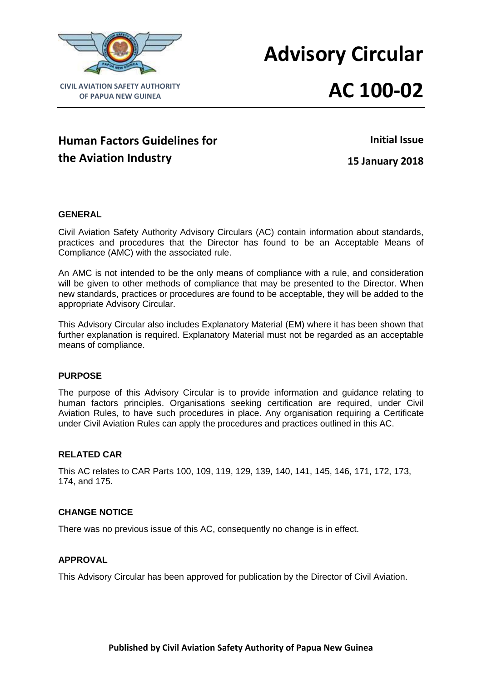

# **Advisory Circular**

# **AC 100-02**

# **Human Factors Guidelines for the Aviation Industry**

**Initial Issue**

**15 January 2018**

# **GENERAL**

Civil Aviation Safety Authority Advisory Circulars (AC) contain information about standards, practices and procedures that the Director has found to be an Acceptable Means of Compliance (AMC) with the associated rule.

An AMC is not intended to be the only means of compliance with a rule, and consideration will be given to other methods of compliance that may be presented to the Director. When new standards, practices or procedures are found to be acceptable, they will be added to the appropriate Advisory Circular.

This Advisory Circular also includes Explanatory Material (EM) where it has been shown that further explanation is required. Explanatory Material must not be regarded as an acceptable means of compliance.

# **PURPOSE**

The purpose of this Advisory Circular is to provide information and guidance relating to human factors principles. Organisations seeking certification are required, under Civil Aviation Rules, to have such procedures in place. Any organisation requiring a Certificate under Civil Aviation Rules can apply the procedures and practices outlined in this AC.

# **RELATED CAR**

This AC relates to CAR Parts 100, 109, 119, 129, 139, 140, 141, 145, 146, 171, 172, 173, 174, and 175.

# **CHANGE NOTICE**

There was no previous issue of this AC, consequently no change is in effect.

# **APPROVAL**

This Advisory Circular has been approved for publication by the Director of Civil Aviation.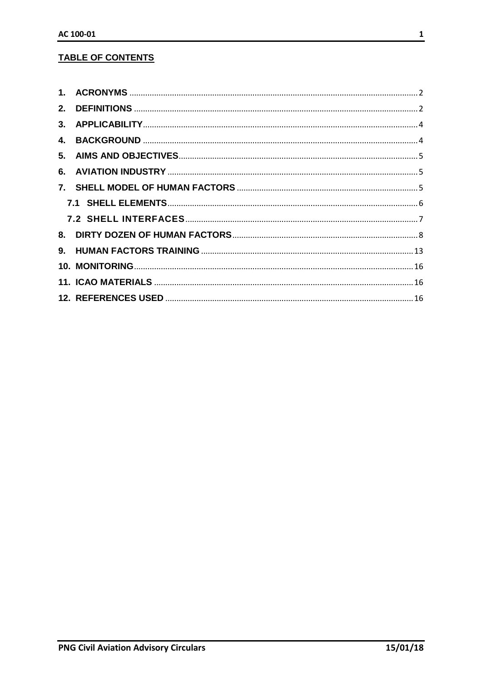# **TABLE OF CONTENTS**

| 4. |  |
|----|--|
|    |  |
|    |  |
|    |  |
|    |  |
|    |  |
|    |  |
|    |  |
|    |  |
|    |  |
|    |  |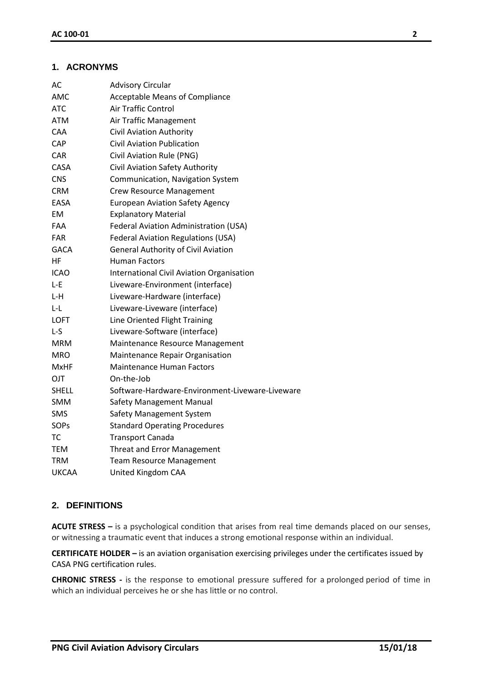# <span id="page-2-0"></span>**1. ACRONYMS**

| AC           | <b>Advisory Circular</b>                         |
|--------------|--------------------------------------------------|
| AMC          | <b>Acceptable Means of Compliance</b>            |
| ATC          | <b>Air Traffic Control</b>                       |
| <b>ATM</b>   | Air Traffic Management                           |
| CAA          | Civil Aviation Authority                         |
| CAP          | <b>Civil Aviation Publication</b>                |
| <b>CAR</b>   | Civil Aviation Rule (PNG)                        |
| <b>CASA</b>  | Civil Aviation Safety Authority                  |
| <b>CNS</b>   | Communication, Navigation System                 |
| <b>CRM</b>   | <b>Crew Resource Management</b>                  |
| EASA         | <b>European Aviation Safety Agency</b>           |
| ЕM           | <b>Explanatory Material</b>                      |
| <b>FAA</b>   | Federal Aviation Administration (USA)            |
| <b>FAR</b>   | <b>Federal Aviation Regulations (USA)</b>        |
| <b>GACA</b>  | General Authority of Civil Aviation              |
| ΗF           | <b>Human Factors</b>                             |
| <b>ICAO</b>  | <b>International Civil Aviation Organisation</b> |
| L-E          | Liveware-Environment (interface)                 |
| L-H          | Liveware-Hardware (interface)                    |
| L-L          | Liveware-Liveware (interface)                    |
| <b>LOFT</b>  | Line Oriented Flight Training                    |
| L-S          | Liveware-Software (interface)                    |
| <b>MRM</b>   | Maintenance Resource Management                  |
| <b>MRO</b>   | Maintenance Repair Organisation                  |
| <b>MxHF</b>  | <b>Maintenance Human Factors</b>                 |
| <b>OJT</b>   | On-the-Job                                       |
| <b>SHELL</b> | Software-Hardware-Environment-Liveware-Liveware  |
| <b>SMM</b>   | Safety Management Manual                         |
| <b>SMS</b>   | Safety Management System                         |
| SOPs         | <b>Standard Operating Procedures</b>             |
| <b>TC</b>    | <b>Transport Canada</b>                          |
| TEM          | <b>Threat and Error Management</b>               |
| TRM          | <b>Team Resource Management</b>                  |
| <b>UKCAA</b> | United Kingdom CAA                               |

# <span id="page-2-1"></span>**2. DEFINITIONS**

**ACUTE STRESS –** is a psychological condition that arises from real time demands placed on our senses, or witnessing a traumatic event that induces a strong emotional response within an individual.

**CERTIFICATE HOLDER –** is an aviation organisation exercising privileges under the certificates issued by CASA PNG certification rules.

**CHRONIC STRESS -** is the response to emotional pressure suffered for a prolonged period of time in which an individual perceives he or she has little or no control.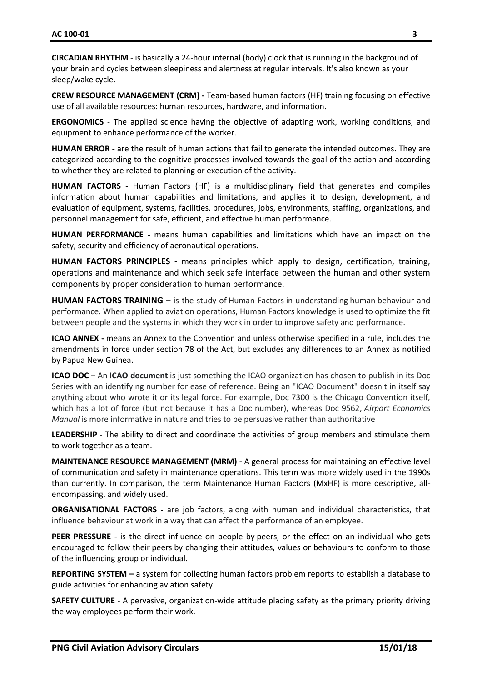**CIRCADIAN RHYTHM** - is basically a 24-hour internal (body) clock that is running in the background of your brain and cycles between sleepiness and alertness at regular intervals. It's also known as your sleep/wake cycle.

**CREW RESOURCE MANAGEMENT (CRM) -** Team-based human factors (HF) training focusing on effective use of all available resources: human resources, hardware, and information.

**ERGONOMICS** - The applied science having the objective of adapting work, working conditions, and equipment to enhance performance of the worker.

**HUMAN ERROR -** are the result of human actions that fail to generate the intended outcomes. They are categorized according to the cognitive processes involved towards the goal of the action and according to whether they are related to planning or execution of the activity.

**HUMAN FACTORS -** Human Factors (HF) is a multidisciplinary field that generates and compiles information about human capabilities and limitations, and applies it to design, development, and evaluation of equipment, systems, facilities, procedures, jobs, environments, staffing, organizations, and personnel management for safe, efficient, and effective human performance.

**HUMAN PERFORMANCE -** means human capabilities and limitations which have an impact on the safety, security and efficiency of aeronautical operations.

**HUMAN FACTORS PRINCIPLES -** means principles which apply to design, certification, training, operations and maintenance and which seek safe interface between the human and other system components by proper consideration to human performance.

**HUMAN FACTORS TRAINING –** is the study of Human Factors in understanding human behaviour and performance. When applied to aviation operations, Human Factors knowledge is used to optimize the fit between people and the systems in which they work in order to improve safety and performance.

**ICAO ANNEX -** means an Annex to the Convention and unless otherwise specified in a rule, includes the amendments in force under section 78 of the Act, but excludes any differences to an Annex as notified by Papua New Guinea.

**ICAO DOC –** An **ICAO document** is just something the ICAO organization has chosen to publish in its Doc Series with an identifying number for ease of reference. Being an "ICAO Document" doesn't in itself say anything about who wrote it or its legal force. For example, Doc 7300 is the Chicago Convention itself, which has a lot of force (but not because it has a Doc number), whereas Doc 9562, *Airport Economics Manual* is more informative in nature and tries to be persuasive rather than authoritative

**LEADERSHIP** - The ability to direct and coordinate the activities of group members and stimulate them to work together as a team.

**MAINTENANCE RESOURCE MANAGEMENT (MRM)** - A general process for maintaining an effective level of communication and safety in maintenance operations. This term was more widely used in the 1990s than currently. In comparison, the term Maintenance Human Factors (MxHF) is more descriptive, allencompassing, and widely used.

**ORGANISATIONAL FACTORS -** are job factors, along with human and individual characteristics, that influence behaviour at work in a way that can affect the performance of an employee.

**PEER PRESSURE -** is the direct influence on people by peers, or the effect on an individual who gets encouraged to follow their peers by changing their attitudes, values or behaviours to conform to those of the influencing group or individual.

**REPORTING SYSTEM –** a system for collecting human factors problem reports to establish a database to guide activities for enhancing aviation safety.

**SAFETY CULTURE** - A pervasive, organization-wide attitude placing safety as the primary priority driving the way employees perform their work.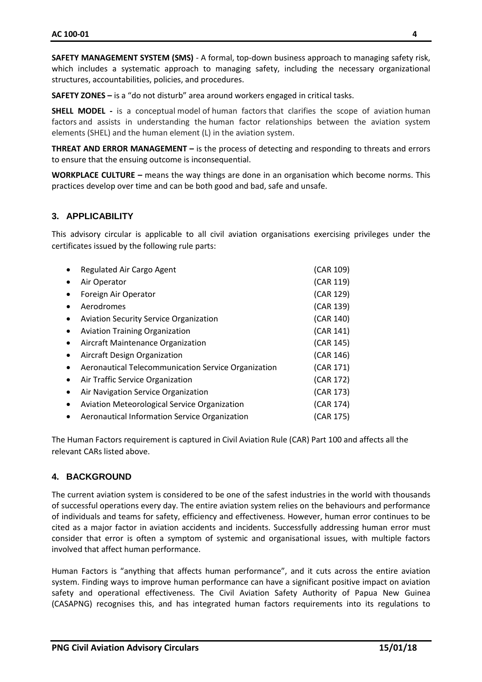**SAFETY MANAGEMENT SYSTEM (SMS)** - A formal, top-down business approach to managing safety risk, which includes a systematic approach to managing safety, including the necessary organizational structures, accountabilities, policies, and procedures.

**SAFETY ZONES –** is a "do not disturb" area around workers engaged in critical tasks.

**SHELL MODEL -** is a conceptual model of human factors that clarifies the scope of aviation human factors and assists in understanding the human factor relationships between the aviation system elements (SHEL) and the human element (L) in the aviation system.

**THREAT AND ERROR MANAGEMENT –** is the process of detecting and responding to threats and errors to ensure that the ensuing outcome is inconsequential.

**WORKPLACE CULTURE –** means the way things are done in an organisation which become norms. This practices develop over time and can be both good and bad, safe and unsafe.

#### <span id="page-4-0"></span>**3. APPLICABILITY**

This advisory circular is applicable to all civil aviation organisations exercising privileges under the certificates issued by the following rule parts:

|           | Regulated Air Cargo Agent                           | (CAR 109) |
|-----------|-----------------------------------------------------|-----------|
| $\bullet$ | Air Operator                                        | (CAR 119) |
|           | Foreign Air Operator                                | (CAR 129) |
| $\bullet$ | Aerodromes                                          | (CAR 139) |
| $\bullet$ | <b>Aviation Security Service Organization</b>       | (CAR 140) |
| $\bullet$ | <b>Aviation Training Organization</b>               | (CAR 141) |
| $\bullet$ | Aircraft Maintenance Organization                   | (CAR 145) |
| $\bullet$ | Aircraft Design Organization                        | (CAR 146) |
|           | Aeronautical Telecommunication Service Organization | (CAR 171) |
| $\bullet$ | Air Traffic Service Organization                    | (CAR 172) |
| $\bullet$ | Air Navigation Service Organization                 | (CAR 173) |
| $\bullet$ | <b>Aviation Meteorological Service Organization</b> | (CAR 174) |
|           | Aeronautical Information Service Organization       | (CAR 175) |

The Human Factors requirement is captured in Civil Aviation Rule (CAR) Part 100 and affects all the relevant CARs listed above.

# <span id="page-4-1"></span>**4. BACKGROUND**

The current aviation system is considered to be one of the safest industries in the world with thousands of successful operations every day. The entire aviation system relies on the behaviours and performance of individuals and teams for safety, efficiency and effectiveness. However, human error continues to be cited as a major factor in aviation accidents and incidents. Successfully addressing human error must consider that error is often a symptom of systemic and organisational issues, with multiple factors involved that affect human performance.

Human Factors is "anything that affects human performance", and it cuts across the entire aviation system. Finding ways to improve human performance can have a significant positive impact on aviation safety and operational effectiveness. The Civil Aviation Safety Authority of Papua New Guinea (CASAPNG) recognises this, and has integrated human factors requirements into its regulations to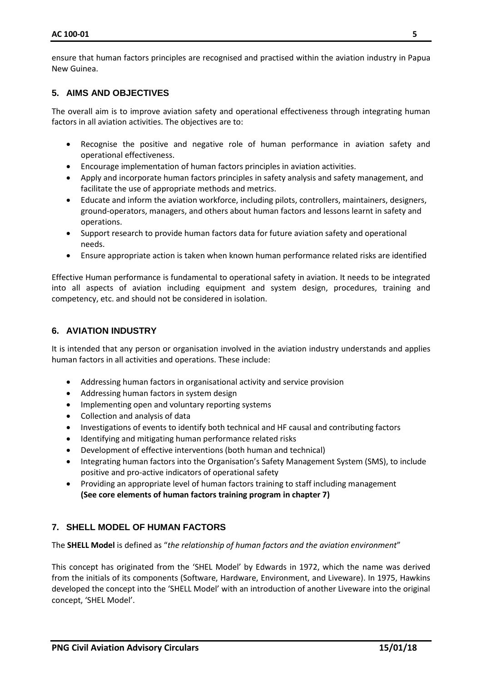ensure that human factors principles are recognised and practised within the aviation industry in Papua New Guinea.

# <span id="page-5-0"></span>**5. AIMS AND OBJECTIVES**

The overall aim is to improve aviation safety and operational effectiveness through integrating human factors in all aviation activities. The objectives are to:

- Recognise the positive and negative role of human performance in aviation safety and operational effectiveness.
- Encourage implementation of human factors principles in aviation activities.
- Apply and incorporate human factors principles in safety analysis and safety management, and facilitate the use of appropriate methods and metrics.
- Educate and inform the aviation workforce, including pilots, controllers, maintainers, designers, ground-operators, managers, and others about human factors and lessons learnt in safety and operations.
- Support research to provide human factors data for future aviation safety and operational needs.
- Ensure appropriate action is taken when known human performance related risks are identified

Effective Human performance is fundamental to operational safety in aviation. It needs to be integrated into all aspects of aviation including equipment and system design, procedures, training and competency, etc. and should not be considered in isolation.

# <span id="page-5-1"></span>**6. AVIATION INDUSTRY**

It is intended that any person or organisation involved in the aviation industry understands and applies human factors in all activities and operations. These include:

- Addressing human factors in organisational activity and service provision
- Addressing human factors in system design
- Implementing open and voluntary reporting systems
- Collection and analysis of data
- Investigations of events to identify both technical and HF causal and contributing factors
- Identifying and mitigating human performance related risks
- Development of effective interventions (both human and technical)
- Integrating human factors into the Organisation's Safety Management System (SMS), to include positive and pro-active indicators of operational safety
- Providing an appropriate level of human factors training to staff including management **(See core elements of human factors training program in chapter 7)**

# <span id="page-5-2"></span>**7. SHELL MODEL OF HUMAN FACTORS**

The **SHELL Model** is defined as "*the relationship of human factors and the aviation environment*"

This concept has originated from the 'SHEL Model' by Edwards in 1972, which the name was derived from the initials of its components (Software, Hardware, Environment, and Liveware). In 1975, Hawkins developed the concept into the 'SHELL Model' with an introduction of another Liveware into the original concept, 'SHEL Model'.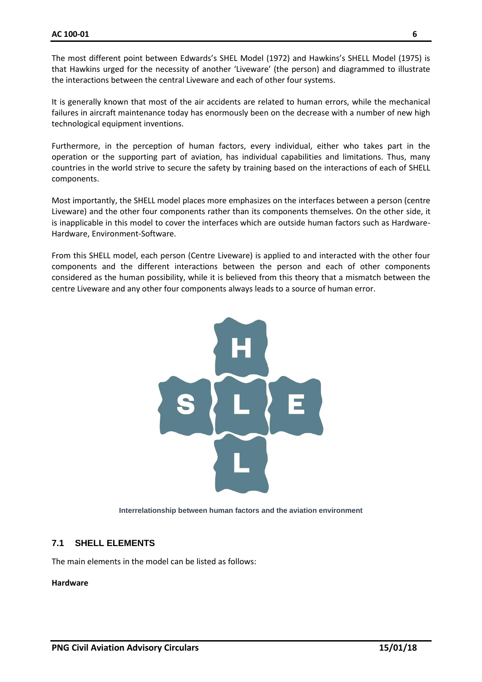The most different point between Edwards's SHEL Model (1972) and Hawkins's SHELL Model (1975) is that Hawkins urged for the necessity of another 'Liveware' (the person) and diagrammed to illustrate the interactions between the central Liveware and each of other four systems.

It is generally known that most of the air accidents are related to human errors, while the mechanical failures in aircraft maintenance today has enormously been on the decrease with a number of new high technological equipment inventions.

Furthermore, in the perception of human factors, every individual, either who takes part in the operation or the supporting part of aviation, has individual capabilities and limitations. Thus, many countries in the world strive to secure the safety by training based on the interactions of each of SHELL components.

Most importantly, the SHELL model places more emphasizes on the interfaces between a person (centre Liveware) and the other four components rather than its components themselves. On the other side, it is inapplicable in this model to cover the interfaces which are outside human factors such as Hardware-Hardware, Environment-Software.

From this SHELL model, each person (Centre Liveware) is applied to and interacted with the other four components and the different interactions between the person and each of other components considered as the human possibility, while it is believed from this theory that a mismatch between the centre Liveware and any other four components always leads to a source of human error.



**Interrelationship between human factors and the aviation environment**

# <span id="page-6-0"></span>**7.1 SHELL ELEMENTS**

The main elements in the model can be listed as follows:

#### **Hardware**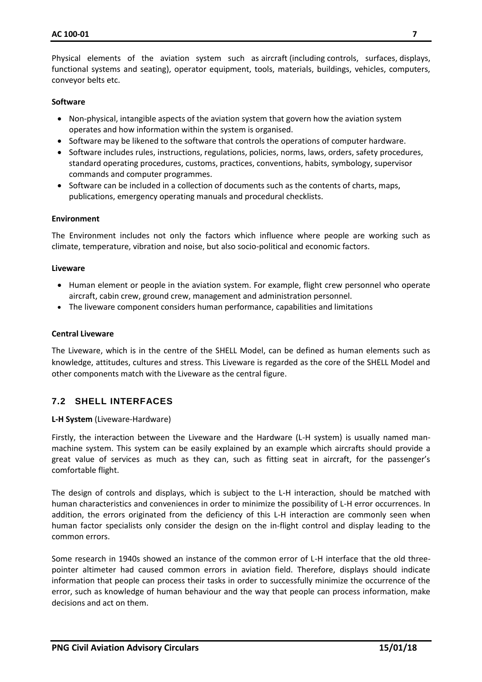Physical elements of the aviation system such as aircraft (including controls, surfaces, displays, functional systems and seating), operator equipment, tools, materials, buildings, vehicles, computers, conveyor belts etc.

#### **Software**

- Non-physical, intangible aspects of the aviation system that govern how the aviation system operates and how information within the system is organised.
- Software may be likened to the software that controls the operations of computer hardware.
- Software includes rules, instructions, regulations, policies, norms, laws, orders, safety procedures, standard operating procedures, customs, practices, conventions, habits, symbology, supervisor commands and computer programmes.
- Software can be included in a collection of documents such as the contents of charts, maps, publications, emergency operating manuals and procedural checklists.

#### **Environment**

The Environment includes not only the factors which influence where people are working such as climate, temperature, vibration and noise, but also socio-political and economic factors.

#### **Liveware**

- Human element or people in the aviation system. For example, flight crew personnel who operate aircraft, cabin crew, ground crew, management and administration personnel.
- The liveware component considers human performance, capabilities and limitations

#### **Central Liveware**

The Liveware, which is in the centre of the SHELL Model, can be defined as human elements such as knowledge, attitudes, cultures and stress. This Liveware is regarded as the core of the SHELL Model and other components match with the Liveware as the central figure.

# <span id="page-7-0"></span>**7.2 SHELL INTERFACES**

#### **L-H System** (Liveware-Hardware)

Firstly, the interaction between the Liveware and the Hardware (L-H system) is usually named manmachine system. This system can be easily explained by an example which aircrafts should provide a great value of services as much as they can, such as fitting seat in aircraft, for the passenger's comfortable flight.

The design of controls and displays, which is subject to the L-H interaction, should be matched with human characteristics and conveniences in order to minimize the possibility of L-H error occurrences. In addition, the errors originated from the deficiency of this L-H interaction are commonly seen when human factor specialists only consider the design on the in-flight control and display leading to the common errors.

Some research in 1940s showed an instance of the common error of L-H interface that the old threepointer altimeter had caused common errors in aviation field. Therefore, displays should indicate information that people can process their tasks in order to successfully minimize the occurrence of the error, such as knowledge of human behaviour and the way that people can process information, make decisions and act on them.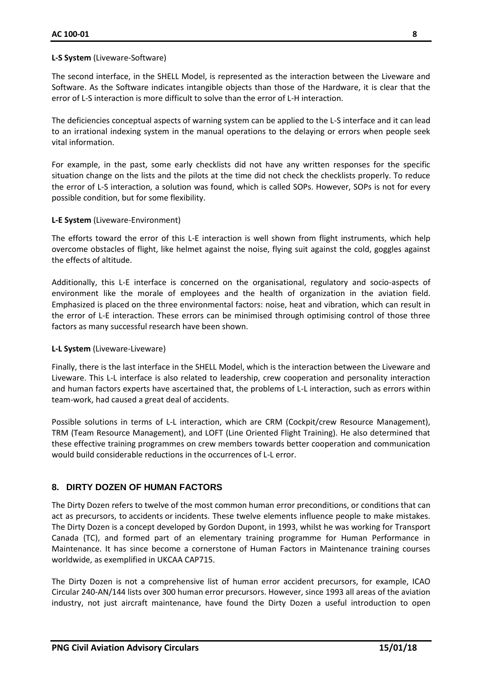#### **L-S System** (Liveware-Software)

The second interface, in the SHELL Model, is represented as the interaction between the Liveware and Software. As the Software indicates intangible objects than those of the Hardware, it is clear that the error of L-S interaction is more difficult to solve than the error of L-H interaction.

The deficiencies conceptual aspects of warning system can be applied to the L-S interface and it can lead to an irrational indexing system in the manual operations to the delaying or errors when people seek vital information.

For example, in the past, some early checklists did not have any written responses for the specific situation change on the lists and the pilots at the time did not check the checklists properly. To reduce the error of L-S interaction, a solution was found, which is called SOPs. However, SOPs is not for every possible condition, but for some flexibility.

#### **L-E System** (Liveware-Environment)

The efforts toward the error of this L-E interaction is well shown from flight instruments, which help overcome obstacles of flight, like helmet against the noise, flying suit against the cold, goggles against the effects of altitude.

Additionally, this L-E interface is concerned on the organisational, regulatory and socio-aspects of environment like the morale of employees and the health of organization in the aviation field. Emphasized is placed on the three environmental factors: noise, heat and vibration, which can result in the error of L-E interaction. These errors can be minimised through optimising control of those three factors as many successful research have been shown.

#### **L-L System** (Liveware-Liveware)

Finally, there is the last interface in the SHELL Model, which is the interaction between the Liveware and Liveware. This L-L interface is also related to leadership, crew cooperation and personality interaction and human factors experts have ascertained that, the problems of L-L interaction, such as errors within team-work, had caused a great deal of accidents.

Possible solutions in terms of L-L interaction, which are CRM (Cockpit/crew Resource Management), TRM (Team Resource Management), and LOFT (Line Oriented Flight Training). He also determined that these effective training programmes on crew members towards better cooperation and communication would build considerable reductions in the occurrences of L-L error.

# <span id="page-8-0"></span>**8. DIRTY DOZEN OF HUMAN FACTORS**

The Dirty Dozen refers to twelve of the most common human error preconditions, or conditions that can act as precursors, to accidents or incidents. These twelve elements influence people to make mistakes. The Dirty Dozen is a concept developed by Gordon Dupont, in 1993, whilst he was working for Transport Canada (TC), and formed part of an elementary training programme for Human Performance in Maintenance. It has since become a cornerstone of Human Factors in Maintenance training courses worldwide, as exemplified in UKCAA CAP715.

The Dirty Dozen is not a comprehensive list of human error accident precursors, for example, ICAO Circular 240-AN/144 lists over 300 human error precursors. However, since 1993 all areas of the aviation industry, not just aircraft maintenance, have found the Dirty Dozen a useful introduction to open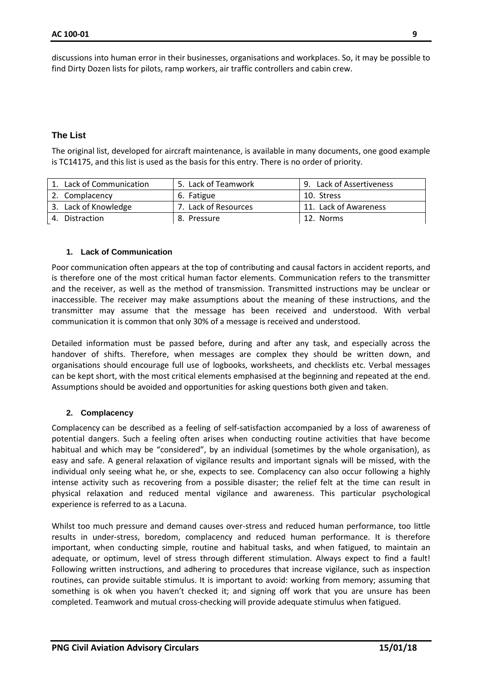discussions into human error in their businesses, organisations and workplaces. So, it may be possible to find Dirty Dozen lists for pilots, ramp workers, air traffic controllers and cabin crew.

### **The List**

The original list, developed for aircraft maintenance, is available in many documents, one good example is TC14175, and this list is used as the basis for this entry. There is no order of priority.

| Lack of Communication | 5. Lack of Teamwork  | 9. Lack of Assertiveness |
|-----------------------|----------------------|--------------------------|
| 2. Complacency        | 6. Fatigue           | 10. Stress               |
| 3. Lack of Knowledge  | 7. Lack of Resources | 11. Lack of Awareness    |
| Distraction           | 8. Pressure          | 12. Norms                |

#### **1. Lack of Communication**

Poor communication often appears at the top of contributing and causal factors in accident reports, and is therefore one of the most critical human factor elements. Communication refers to the transmitter and the receiver, as well as the method of transmission. Transmitted instructions may be unclear or inaccessible. The receiver may make assumptions about the meaning of these instructions, and the transmitter may assume that the message has been received and understood. With verbal communication it is common that only 30% of a message is received and understood.

Detailed information must be passed before, during and after any task, and especially across the handover of shifts. Therefore, when messages are complex they should be written down, and organisations should encourage full use of logbooks, worksheets, and checklists etc. Verbal messages can be kept short, with the most critical elements emphasised at the beginning and repeated at the end. Assumptions should be avoided and opportunities for asking questions both given and taken.

#### **2. Complacency**

Complacency can be described as a feeling of self-satisfaction accompanied by a loss of awareness of potential dangers. Such a feeling often arises when conducting routine activities that have become habitual and which may be "considered", by an individual (sometimes by the whole organisation), as easy and safe. A general relaxation of vigilance results and important signals will be missed, with the individual only seeing what he, or she, expects to see. Complacency can also occur following a highly intense activity such as recovering from a possible disaster; the relief felt at the time can result in physical relaxation and reduced mental vigilance and awareness. This particular psychological experience is referred to as a Lacuna.

Whilst too much pressure and demand causes over-stress and reduced human performance, too little results in under-stress, boredom, complacency and reduced human performance. It is therefore important, when conducting simple, routine and habitual tasks, and when fatigued, to maintain an adequate, or optimum, level of stress through different stimulation. Always expect to find a fault! Following written instructions, and adhering to procedures that increase vigilance, such as inspection routines, can provide suitable stimulus. It is important to avoid: working from memory; assuming that something is ok when you haven't checked it; and signing off work that you are unsure has been completed. Teamwork and mutual cross-checking will provide adequate stimulus when fatigued.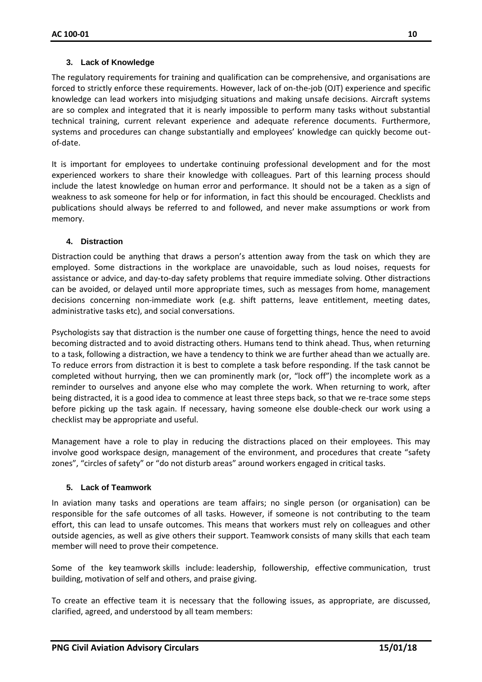#### **3. Lack of Knowledge**

The regulatory requirements for training and qualification can be comprehensive, and organisations are forced to strictly enforce these requirements. However, lack of on-the-job (OJT) experience and specific knowledge can lead workers into misjudging situations and making unsafe decisions. Aircraft systems are so complex and integrated that it is nearly impossible to perform many tasks without substantial technical training, current relevant experience and adequate reference documents. Furthermore, systems and procedures can change substantially and employees' knowledge can quickly become outof-date.

It is important for employees to undertake continuing professional development and for the most experienced workers to share their knowledge with colleagues. Part of this learning process should include the latest knowledge on human error and performance. It should not be a taken as a sign of weakness to ask someone for help or for information, in fact this should be encouraged. Checklists and publications should always be referred to and followed, and never make assumptions or work from memory.

#### **4. Distraction**

Distraction could be anything that draws a person's attention away from the task on which they are employed. Some distractions in the workplace are unavoidable, such as loud noises, requests for assistance or advice, and day-to-day safety problems that require immediate solving. Other distractions can be avoided, or delayed until more appropriate times, such as messages from home, management decisions concerning non-immediate work (e.g. shift patterns, leave entitlement, meeting dates, administrative tasks etc), and social conversations.

Psychologists say that distraction is the number one cause of forgetting things, hence the need to avoid becoming distracted and to avoid distracting others. Humans tend to think ahead. Thus, when returning to a task, following a distraction, we have a tendency to think we are further ahead than we actually are. To reduce errors from distraction it is best to complete a task before responding. If the task cannot be completed without hurrying, then we can prominently mark (or, "lock off") the incomplete work as a reminder to ourselves and anyone else who may complete the work. When returning to work, after being distracted, it is a good idea to commence at least three steps back, so that we re-trace some steps before picking up the task again. If necessary, having someone else double-check our work using a checklist may be appropriate and useful.

Management have a role to play in reducing the distractions placed on their employees. This may involve good workspace design, management of the environment, and procedures that create "safety zones", "circles of safety" or "do not disturb areas" around workers engaged in critical tasks.

# **5. Lack of Teamwork**

In aviation many tasks and operations are team affairs; no single person (or organisation) can be responsible for the safe outcomes of all tasks. However, if someone is not contributing to the team effort, this can lead to unsafe outcomes. This means that workers must rely on colleagues and other outside agencies, as well as give others their support. Teamwork consists of many skills that each team member will need to prove their competence.

Some of the key teamwork skills include: leadership, followership, effective communication, trust building, motivation of self and others, and praise giving.

To create an effective team it is necessary that the following issues, as appropriate, are discussed, clarified, agreed, and understood by all team members: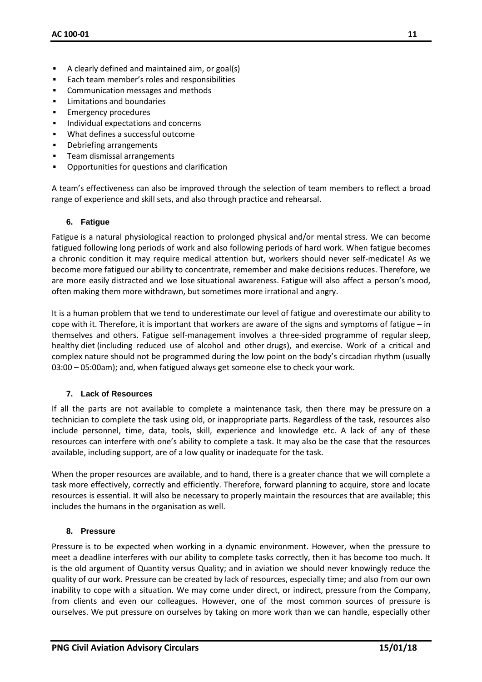- A clearly defined and maintained aim, or goal(s)
- Each team member's roles and responsibilities
- Communication messages and methods
- **EXECUTE:** Limitations and boundaries
- **Emergency procedures**
- Individual expectations and concerns
- What defines a successful outcome
- Debriefing arrangements
- Team dismissal arrangements
- Opportunities for questions and clarification

A team's effectiveness can also be improved through the selection of team members to reflect a broad range of experience and skill sets, and also through practice and rehearsal.

#### **6. Fatigue**

Fatigue is a natural physiological reaction to prolonged physical and/or mental stress. We can become fatigued following long periods of work and also following periods of hard work. When fatigue becomes a chronic condition it may require medical attention but, workers should never self-medicate! As we become more fatigued our ability to concentrate, remember and make decisions reduces. Therefore, we are more easily distracted and we lose situational awareness. Fatigue will also affect a person's mood, often making them more withdrawn, but sometimes more irrational and angry.

It is a human problem that we tend to underestimate our level of fatigue and overestimate our ability to cope with it. Therefore, it is important that workers are aware of the signs and symptoms of fatigue – in themselves and others. Fatigue self-management involves a three-sided programme of regular sleep, healthy diet (including reduced use of alcohol and other drugs), and exercise. Work of a critical and complex nature should not be programmed during the low point on the body's circadian rhythm (usually 03:00 – 05:00am); and, when fatigued always get someone else to check your work.

#### **7. Lack of Resources**

If all the parts are not available to complete a maintenance task, then there may be pressure on a technician to complete the task using old, or inappropriate parts. Regardless of the task, resources also include personnel, time, data, tools, skill, experience and knowledge etc. A lack of any of these resources can interfere with one's ability to complete a task. It may also be the case that the resources available, including support, are of a low quality or inadequate for the task.

When the proper resources are available, and to hand, there is a greater chance that we will complete a task more effectively, correctly and efficiently. Therefore, forward planning to acquire, store and locate resources is essential. It will also be necessary to properly maintain the resources that are available; this includes the humans in the organisation as well.

#### **8. Pressure**

Pressure is to be expected when working in a dynamic environment. However, when the pressure to meet a deadline interferes with our ability to complete tasks correctly, then it has become too much. It is the old argument of Quantity versus Quality; and in aviation we should never knowingly reduce the quality of our work. Pressure can be created by lack of resources, especially time; and also from our own inability to cope with a situation. We may come under direct, or indirect, pressure from the Company, from clients and even our colleagues. However, one of the most common sources of pressure is ourselves. We put pressure on ourselves by taking on more work than we can handle, especially other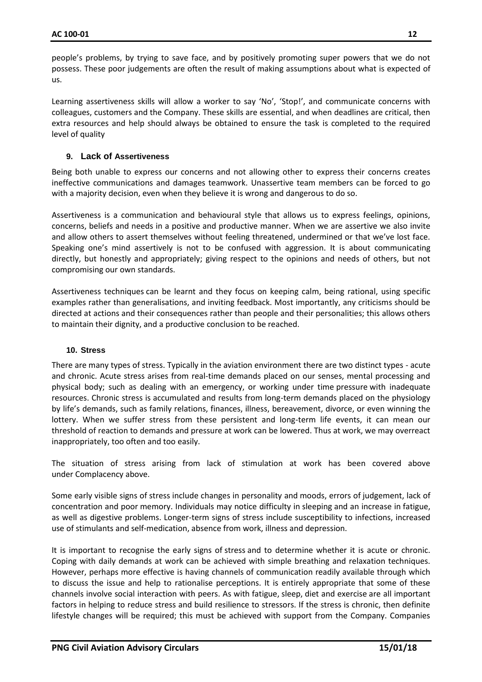people's problems, by trying to save face, and by positively promoting super powers that we do not possess. These poor judgements are often the result of making assumptions about what is expected of us.

Learning assertiveness skills will allow a worker to say 'No', 'Stop!', and communicate concerns with colleagues, customers and the Company. These skills are essential, and when deadlines are critical, then extra resources and help should always be obtained to ensure the task is completed to the required level of quality

# **9. Lack of Assertiveness**

Being both unable to express our concerns and not allowing other to express their concerns creates ineffective communications and damages teamwork. Unassertive team members can be forced to go with a majority decision, even when they believe it is wrong and dangerous to do so.

Assertiveness is a communication and behavioural style that allows us to express feelings, opinions, concerns, beliefs and needs in a positive and productive manner. When we are assertive we also invite and allow others to assert themselves without feeling threatened, undermined or that we've lost face. Speaking one's mind assertively is not to be confused with aggression. It is about communicating directly, but honestly and appropriately; giving respect to the opinions and needs of others, but not compromising our own standards.

Assertiveness techniques can be learnt and they focus on keeping calm, being rational, using specific examples rather than generalisations, and inviting feedback. Most importantly, any criticisms should be directed at actions and their consequences rather than people and their personalities; this allows others to maintain their dignity, and a productive conclusion to be reached.

#### **10. Stress**

There are many types of stress. Typically in the aviation environment there are two distinct types - acute and chronic. Acute stress arises from real-time demands placed on our senses, mental processing and physical body; such as dealing with an emergency, or working under time pressure with inadequate resources. Chronic stress is accumulated and results from long-term demands placed on the physiology by life's demands, such as family relations, finances, illness, bereavement, divorce, or even winning the lottery. When we suffer stress from these persistent and long-term life events, it can mean our threshold of reaction to demands and pressure at work can be lowered. Thus at work, we may overreact inappropriately, too often and too easily.

The situation of stress arising from lack of stimulation at work has been covered above under Complacency above.

Some early visible signs of stress include changes in personality and moods, errors of judgement, lack of concentration and poor memory. Individuals may notice difficulty in sleeping and an increase in fatigue, as well as digestive problems. Longer-term signs of stress include susceptibility to infections, increased use of stimulants and self-medication, absence from work, illness and depression.

It is important to recognise the early signs of stress and to determine whether it is acute or chronic. Coping with daily demands at work can be achieved with simple breathing and relaxation techniques. However, perhaps more effective is having channels of communication readily available through which to discuss the issue and help to rationalise perceptions. It is entirely appropriate that some of these channels involve social interaction with peers. As with fatigue, sleep, diet and exercise are all important factors in helping to reduce stress and build resilience to stressors. If the stress is chronic, then definite lifestyle changes will be required; this must be achieved with support from the Company. Companies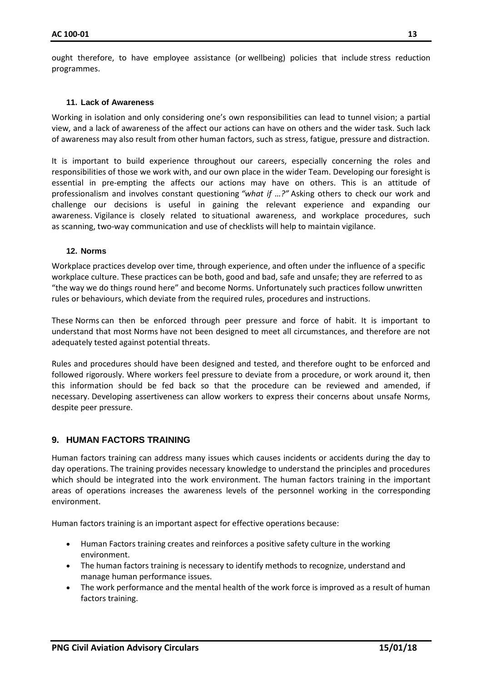ought therefore, to have employee assistance (or wellbeing) policies that include stress reduction programmes.

#### **11. Lack of Awareness**

Working in isolation and only considering one's own responsibilities can lead to tunnel vision; a partial view, and a lack of awareness of the affect our actions can have on others and the wider task. Such lack of awareness may also result from other human factors, such as stress, fatigue, pressure and distraction.

It is important to build experience throughout our careers, especially concerning the roles and responsibilities of those we work with, and our own place in the wider Team. Developing our foresight is essential in pre-empting the affects our actions may have on others. This is an attitude of professionalism and involves constant questioning *"what if …?"* Asking others to check our work and challenge our decisions is useful in gaining the relevant experience and expanding our awareness. Vigilance is closely related to situational awareness, and workplace procedures, such as scanning, two-way communication and use of checklists will help to maintain vigilance.

#### **12. Norms**

Workplace practices develop over time, through experience, and often under the influence of a specific workplace culture. These practices can be both, good and bad, safe and unsafe; they are referred to as "the way we do things round here" and become Norms. Unfortunately such practices follow unwritten rules or behaviours, which deviate from the required rules, procedures and instructions.

These Norms can then be enforced through peer pressure and force of habit. It is important to understand that most Norms have not been designed to meet all circumstances, and therefore are not adequately tested against potential threats.

Rules and procedures should have been designed and tested, and therefore ought to be enforced and followed rigorously. Where workers feel pressure to deviate from a procedure, or work around it, then this information should be fed back so that the procedure can be reviewed and amended, if necessary. Developing assertiveness can allow workers to express their concerns about unsafe Norms, despite peer pressure.

# <span id="page-13-0"></span>**9. HUMAN FACTORS TRAINING**

Human factors training can address many issues which causes incidents or accidents during the day to day operations. The training provides necessary knowledge to understand the principles and procedures which should be integrated into the work environment. The human factors training in the important areas of operations increases the awareness levels of the personnel working in the corresponding environment.

Human factors training is an important aspect for effective operations because:

- Human Factors training creates and reinforces a positive safety culture in the working environment.
- The human factors training is necessary to identify methods to recognize, understand and manage human performance issues.
- The work performance and the mental health of the work force is improved as a result of human factors training.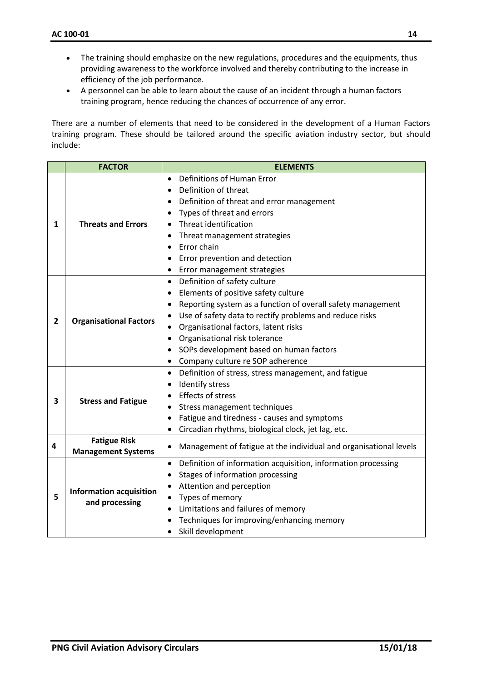- The training should emphasize on the new regulations, procedures and the equipments, thus providing awareness to the workforce involved and thereby contributing to the increase in efficiency of the job performance.
- A personnel can be able to learn about the cause of an incident through a human factors training program, hence reducing the chances of occurrence of any error.

There are a number of elements that need to be considered in the development of a Human Factors training program. These should be tailored around the specific aviation industry sector, but should include:

|              | <b>FACTOR</b>                                    | <b>ELEMENTS</b>                                                            |  |
|--------------|--------------------------------------------------|----------------------------------------------------------------------------|--|
|              |                                                  | Definitions of Human Error                                                 |  |
|              | <b>Threats and Errors</b>                        | Definition of threat                                                       |  |
|              |                                                  | Definition of threat and error management                                  |  |
|              |                                                  | Types of threat and errors                                                 |  |
| 1            |                                                  | Threat identification                                                      |  |
|              |                                                  | Threat management strategies                                               |  |
|              |                                                  | Error chain                                                                |  |
|              |                                                  | Error prevention and detection                                             |  |
|              |                                                  | Error management strategies<br>٠                                           |  |
|              |                                                  | Definition of safety culture<br>$\bullet$                                  |  |
|              |                                                  | Elements of positive safety culture                                        |  |
|              | <b>Organisational Factors</b>                    | Reporting system as a function of overall safety management                |  |
| $\mathbf{2}$ |                                                  | Use of safety data to rectify problems and reduce risks<br>$\bullet$       |  |
|              |                                                  | Organisational factors, latent risks                                       |  |
|              |                                                  | Organisational risk tolerance                                              |  |
|              |                                                  | SOPs development based on human factors                                    |  |
|              |                                                  | Company culture re SOP adherence<br>$\bullet$                              |  |
|              | <b>Stress and Fatigue</b>                        | Definition of stress, stress management, and fatigue<br>$\bullet$          |  |
|              |                                                  | Identify stress                                                            |  |
| 3            |                                                  | Effects of stress<br>$\bullet$                                             |  |
|              |                                                  | Stress management techniques<br>٠                                          |  |
|              |                                                  | Fatigue and tiredness - causes and symptoms                                |  |
|              |                                                  | Circadian rhythms, biological clock, jet lag, etc.<br>$\bullet$            |  |
| 4            | <b>Fatigue Risk</b>                              | Management of fatigue at the individual and organisational levels<br>٠     |  |
|              | <b>Management Systems</b>                        |                                                                            |  |
|              |                                                  | Definition of information acquisition, information processing<br>$\bullet$ |  |
|              |                                                  | Stages of information processing                                           |  |
|              | <b>Information acquisition</b><br>and processing | Attention and perception<br>$\bullet$                                      |  |
| 5            |                                                  | Types of memory                                                            |  |
|              |                                                  | Limitations and failures of memory                                         |  |
|              |                                                  | Techniques for improving/enhancing memory                                  |  |
|              |                                                  | Skill development                                                          |  |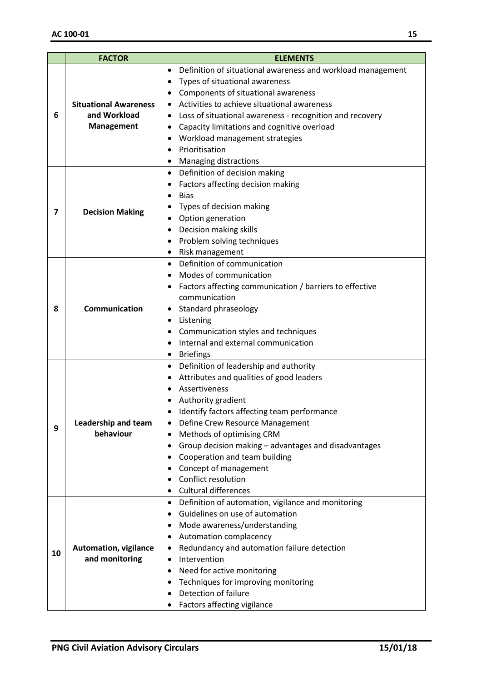| <b>FACTOR</b> |                                                                       | <b>ELEMENTS</b>                                                                        |
|---------------|-----------------------------------------------------------------------|----------------------------------------------------------------------------------------|
|               |                                                                       | Definition of situational awareness and workload management<br>$\bullet$               |
|               |                                                                       | Types of situational awareness                                                         |
|               |                                                                       | Components of situational awareness                                                    |
|               | <b>Situational Awareness</b>                                          | Activities to achieve situational awareness                                            |
| 6             | and Workload                                                          | Loss of situational awareness - recognition and recovery                               |
|               | <b>Management</b>                                                     | Capacity limitations and cognitive overload<br>٠                                       |
|               |                                                                       | Workload management strategies                                                         |
|               |                                                                       | Prioritisation                                                                         |
|               |                                                                       | <b>Managing distractions</b><br>٠                                                      |
|               | <b>Decision Making</b>                                                | Definition of decision making<br>٠                                                     |
|               |                                                                       | Factors affecting decision making                                                      |
|               |                                                                       | <b>Bias</b><br>$\bullet$                                                               |
| 7             |                                                                       | Types of decision making                                                               |
|               |                                                                       | Option generation                                                                      |
|               |                                                                       | Decision making skills<br>$\bullet$                                                    |
|               |                                                                       | Problem solving techniques                                                             |
|               |                                                                       | Risk management<br>٠                                                                   |
|               | Communication                                                         | Definition of communication<br>$\bullet$                                               |
|               |                                                                       | Modes of communication                                                                 |
|               |                                                                       | Factors affecting communication / barriers to effective                                |
|               |                                                                       | communication                                                                          |
| 8             |                                                                       | Standard phraseology                                                                   |
|               |                                                                       | Listening                                                                              |
|               |                                                                       | Communication styles and techniques                                                    |
|               |                                                                       | Internal and external communication                                                    |
|               |                                                                       | <b>Briefings</b><br>٠                                                                  |
|               |                                                                       | Definition of leadership and authority<br>$\bullet$                                    |
|               | Leadership and team<br>behaviour                                      | Attributes and qualities of good leaders                                               |
|               |                                                                       | Assertiveness                                                                          |
|               |                                                                       | Authority gradient                                                                     |
|               |                                                                       | Identify factors affecting team performance                                            |
| 9             |                                                                       | Define Crew Resource Management                                                        |
|               |                                                                       | Methods of optimising CRM<br>٠<br>Group decision making - advantages and disadvantages |
|               |                                                                       | Cooperation and team building                                                          |
|               |                                                                       | Concept of management                                                                  |
|               |                                                                       | Conflict resolution                                                                    |
|               |                                                                       | <b>Cultural differences</b>                                                            |
|               |                                                                       | Definition of automation, vigilance and monitoring<br>$\bullet$                        |
|               |                                                                       | Guidelines on use of automation                                                        |
|               |                                                                       | Mode awareness/understanding                                                           |
|               | $\bullet$<br><b>Automation, vigilance</b><br>٠<br>and monitoring<br>٠ | Automation complacency                                                                 |
|               |                                                                       | Redundancy and automation failure detection                                            |
| 10            |                                                                       | Intervention                                                                           |
|               |                                                                       | Need for active monitoring                                                             |
|               |                                                                       | Techniques for improving monitoring                                                    |
|               |                                                                       | Detection of failure                                                                   |
|               |                                                                       | Factors affecting vigilance                                                            |